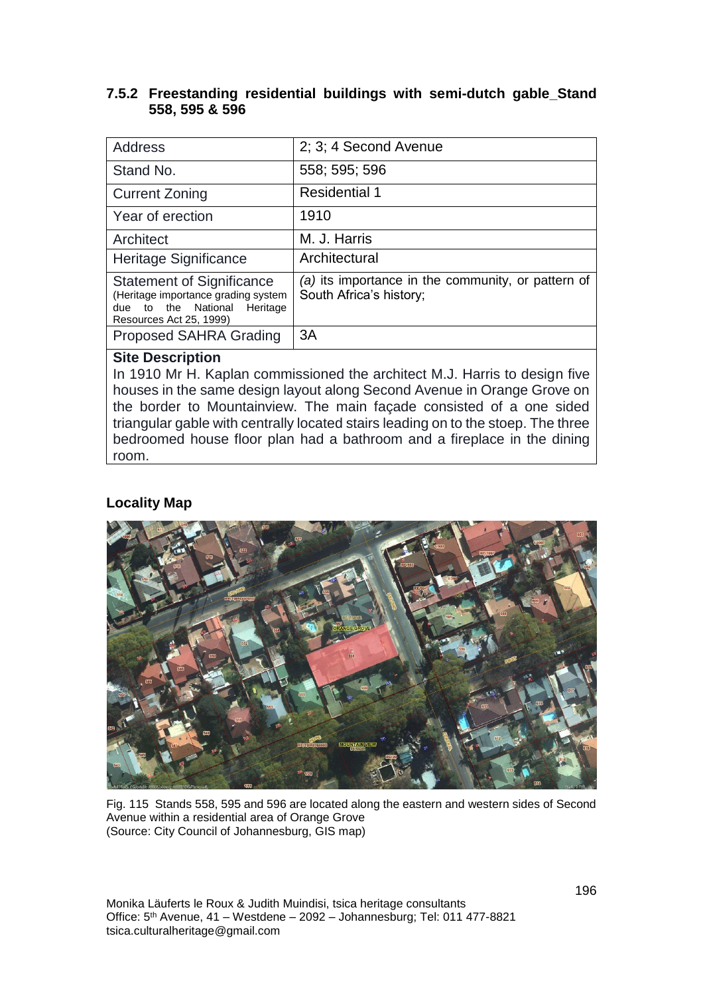#### **7.5.2 Freestanding residential buildings with semi-dutch gable\_Stand 558, 595 & 596**

| <b>Address</b>                                                                                                                     | 2; 3; 4 Second Avenue                                                         |
|------------------------------------------------------------------------------------------------------------------------------------|-------------------------------------------------------------------------------|
| Stand No.                                                                                                                          | 558; 595; 596                                                                 |
| <b>Current Zoning</b>                                                                                                              | <b>Residential 1</b>                                                          |
| Year of erection                                                                                                                   | 1910                                                                          |
| Architect                                                                                                                          | M. J. Harris                                                                  |
| <b>Heritage Significance</b>                                                                                                       | Architectural                                                                 |
| <b>Statement of Significance</b><br>(Heritage importance grading system<br>due to the National Heritage<br>Resources Act 25, 1999) | (a) its importance in the community, or pattern of<br>South Africa's history; |
| Proposed SAHRA Grading                                                                                                             | 3A                                                                            |

#### **Site Description**

In 1910 Mr H. Kaplan commissioned the architect M.J. Harris to design five houses in the same design layout along Second Avenue in Orange Grove on the border to Mountainview. The main façade consisted of a one sided triangular gable with centrally located stairs leading on to the stoep. The three bedroomed house floor plan had a bathroom and a fireplace in the dining room.

### **Locality Map**



Fig. 115 Stands 558, 595 and 596 are located along the eastern and western sides of Second Avenue within a residential area of Orange Grove (Source: City Council of Johannesburg, GIS map)

Monika Läuferts le Roux & Judith Muindisi, tsica heritage consultants Office: 5<sup>th</sup> Avenue, 41 – Westdene – 2092 – Johannesburg; Tel: 011 477-8821 tsica.culturalheritage@gmail.com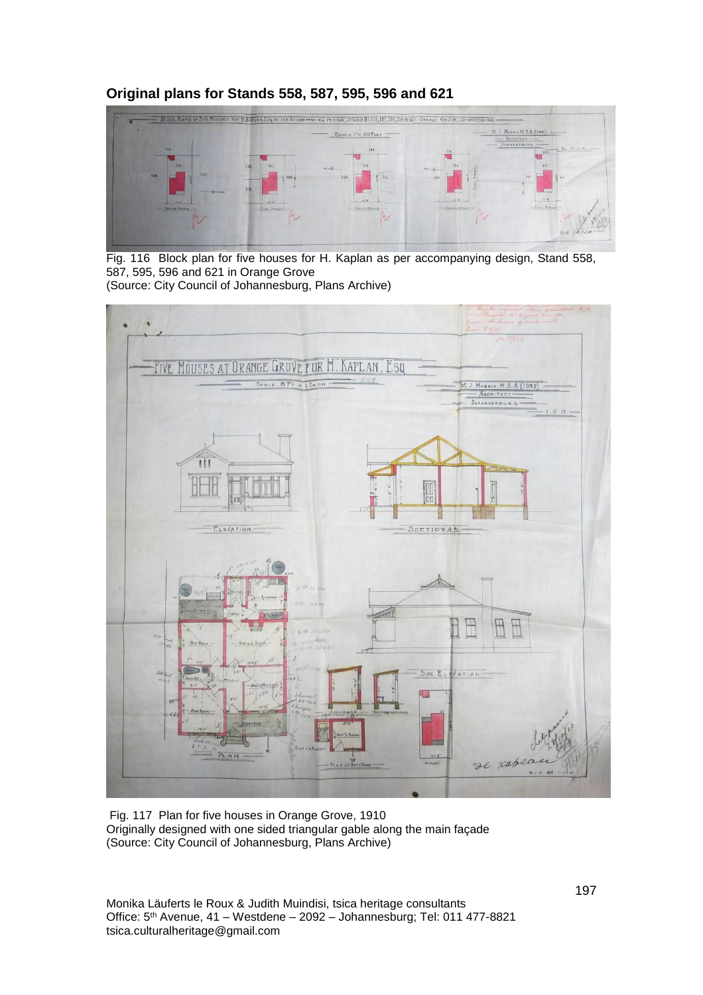### **Original plans for Stands 558, 587, 595, 596 and 621**



Fig. 116 Block plan for five houses for H. Kaplan as per accompanying design, Stand 558, 587, 595, 596 and 621 in Orange Grove

(Source: City Council of Johannesburg, Plans Archive)



Fig. 117 Plan for five houses in Orange Grove, 1910 Originally designed with one sided triangular gable along the main façade (Source: City Council of Johannesburg, Plans Archive)

Monika Läuferts le Roux & Judith Muindisi, tsica heritage consultants Office: 5<sup>th</sup> Avenue, 41 – Westdene – 2092 – Johannesburg; Tel: 011 477-8821 tsica.culturalheritage@gmail.com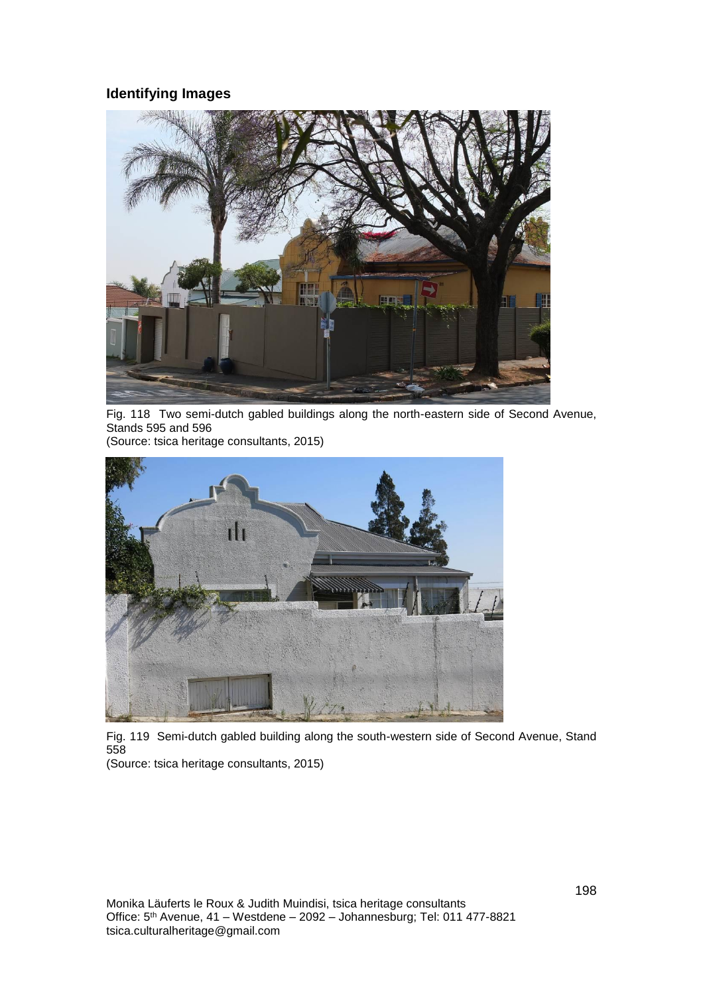### **Identifying Images**



Fig. 118 Two semi-dutch gabled buildings along the north-eastern side of Second Avenue, Stands 595 and 596

(Source: tsica heritage consultants, 2015)



Fig. 119 Semi-dutch gabled building along the south-western side of Second Avenue, Stand 558

(Source: tsica heritage consultants, 2015)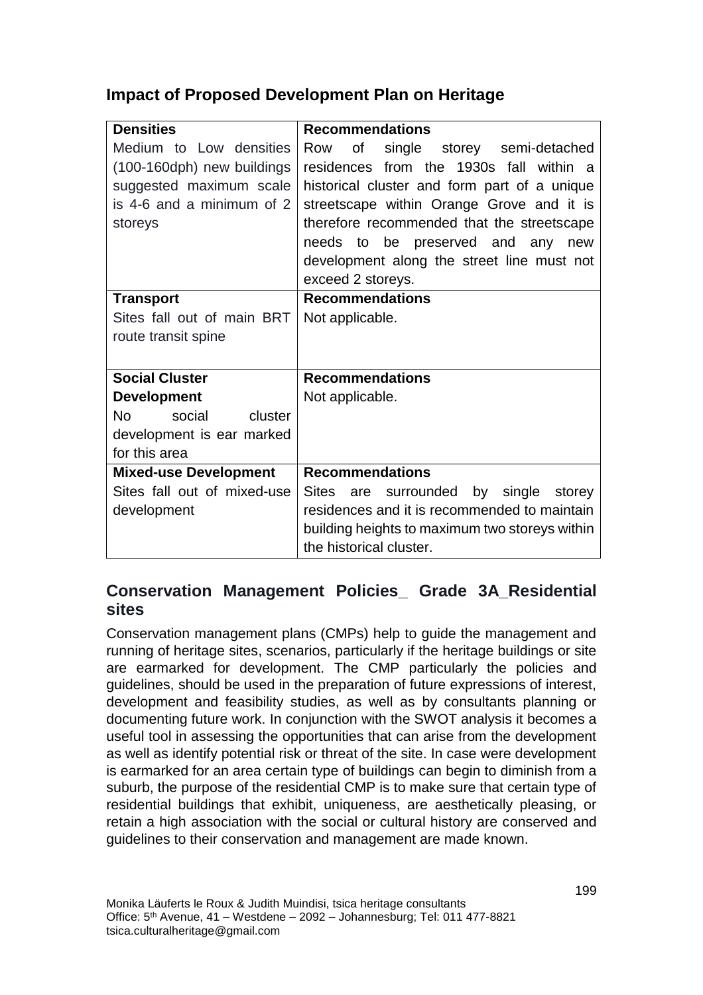# **Impact of Proposed Development Plan on Heritage**

| <b>Densities</b>               | <b>Recommendations</b>                             |
|--------------------------------|----------------------------------------------------|
| Medium to Low densities        | of<br>single storey semi-detached<br>Row           |
| (100-160dph) new buildings     | residences from the 1930s fall within a            |
| suggested maximum scale        | historical cluster and form part of a unique       |
| is 4-6 and a minimum of 2      | streetscape within Orange Grove and it is          |
| storeys                        | therefore recommended that the streetscape         |
|                                | needs to be preserved and any new                  |
|                                | development along the street line must not         |
|                                | exceed 2 storeys.                                  |
| <b>Transport</b>               | <b>Recommendations</b>                             |
| Sites fall out of main BRT     | Not applicable.                                    |
| route transit spine            |                                                    |
|                                |                                                    |
| <b>Social Cluster</b>          | <b>Recommendations</b>                             |
| <b>Development</b>             | Not applicable.                                    |
| <b>No</b><br>social<br>cluster |                                                    |
| development is ear marked      |                                                    |
| for this area                  |                                                    |
| <b>Mixed-use Development</b>   | <b>Recommendations</b>                             |
| Sites fall out of mixed-use    | <b>Sites</b><br>are surrounded by single<br>storey |
| development                    | residences and it is recommended to maintain       |
|                                | building heights to maximum two storeys within     |
|                                | the historical cluster.                            |

## **Conservation Management Policies\_ Grade 3A\_Residential sites**

Conservation management plans (CMPs) help to guide the management and running of heritage sites, scenarios, particularly if the heritage buildings or site are earmarked for development. The CMP particularly the policies and guidelines, should be used in the preparation of future expressions of interest, development and feasibility studies, as well as by consultants planning or documenting future work. In conjunction with the SWOT analysis it becomes a useful tool in assessing the opportunities that can arise from the development as well as identify potential risk or threat of the site. In case were development is earmarked for an area certain type of buildings can begin to diminish from a suburb, the purpose of the residential CMP is to make sure that certain type of residential buildings that exhibit, uniqueness, are aesthetically pleasing, or retain a high association with the social or cultural history are conserved and guidelines to their conservation and management are made known.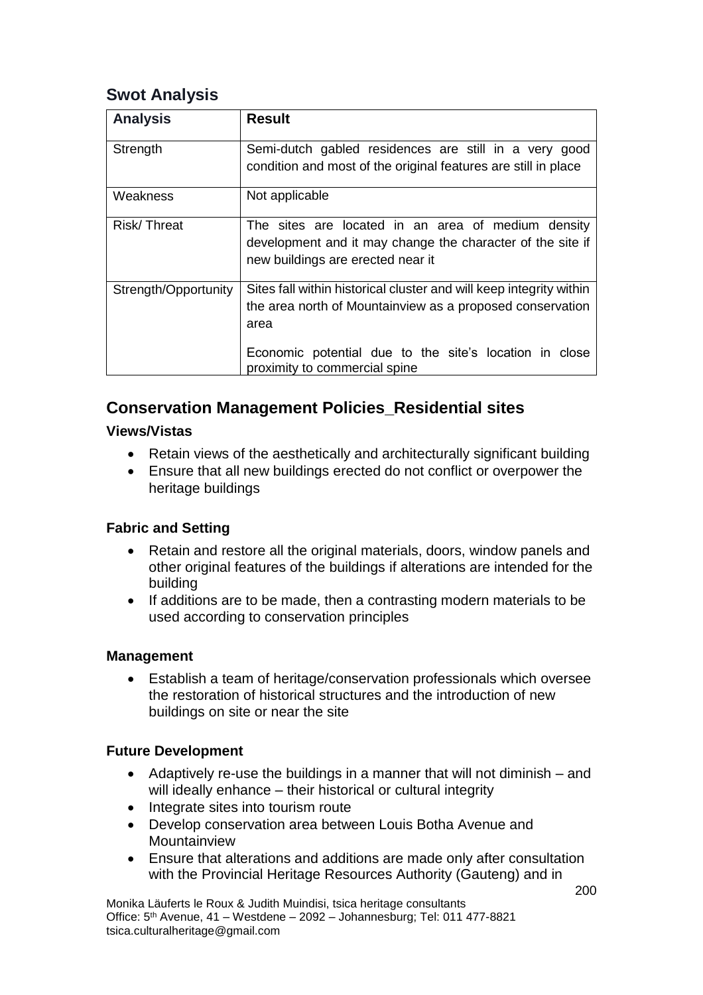## **Swot Analysis**

| <b>Analysis</b>      | <b>Result</b>                                                                                                                                         |
|----------------------|-------------------------------------------------------------------------------------------------------------------------------------------------------|
| Strength             | Semi-dutch gabled residences are still in a very good<br>condition and most of the original features are still in place                               |
| Weakness             | Not applicable                                                                                                                                        |
| Risk/Threat          | The sites are located in an area of medium density<br>development and it may change the character of the site if<br>new buildings are erected near it |
| Strength/Opportunity | Sites fall within historical cluster and will keep integrity within<br>the area north of Mountainview as a proposed conservation<br>area              |
|                      | Economic potential due to the site's location in close<br>proximity to commercial spine                                                               |

# **Conservation Management Policies\_Residential sites**

### **Views/Vistas**

- Retain views of the aesthetically and architecturally significant building
- Ensure that all new buildings erected do not conflict or overpower the heritage buildings

## **Fabric and Setting**

- Retain and restore all the original materials, doors, window panels and other original features of the buildings if alterations are intended for the building
- If additions are to be made, then a contrasting modern materials to be used according to conservation principles

### **Management**

• Establish a team of heritage/conservation professionals which oversee the restoration of historical structures and the introduction of new buildings on site or near the site

## **Future Development**

- Adaptively re-use the buildings in a manner that will not diminish and will ideally enhance – their historical or cultural integrity
- Integrate sites into tourism route
- Develop conservation area between Louis Botha Avenue and Mountainview
- Ensure that alterations and additions are made only after consultation with the Provincial Heritage Resources Authority (Gauteng) and in

Monika Läuferts le Roux & Judith Muindisi, tsica heritage consultants Office: 5th Avenue, 41 – Westdene – 2092 – Johannesburg; Tel: 011 477-8821 tsica.culturalheritage@gmail.com